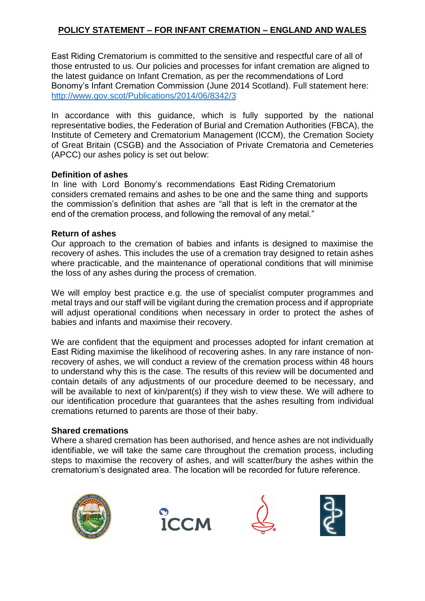# **POLICY STATEMENT – FOR INFANT CREMATION – ENGLAND AND WALES**

East Riding Crematorium is committed to the sensitive and respectful care of all of those entrusted to us. Our policies and processes for infant cremation are aligned to the latest guidance on Infant Cremation, as per the recommendations of Lord Bonomy's Infant Cremation Commission (June 2014 Scotland). Full statement here: http://www.gov.scot/Publicatio[ns/2014/06/8342/3](http://www.gov.scot/Publications/2014/06/8342/3)

In accordance with this guidance, which is fully supported by the national representative bodies, the Federation of Burial and Cremation Authorities (FBCA), the Institute of Cemetery and Crematorium Management (ICCM), the Cremation Society of Great Britain (CSGB) and the Association of Private Crematoria and Cemeteries (APCC) our ashes policy is set out below:

#### **Definition of ashes**

In line with Lord Bonomy's recommendations East Riding Crematorium considers cremated remains and ashes to be one and the same thing and supports the commission's definition that ashes are "all that is left in the cremator at the end of the cremation process, and following the removal of any metal."

### **Return of ashes**

Our approach to the cremation of babies and infants is designed to maximise the recovery of ashes. This includes the use of a cremation tray designed to retain ashes where practicable, and the maintenance of operational conditions that will minimise the loss of any ashes during the process of cremation.

We will employ best practice e.g. the use of specialist computer programmes and metal trays and our staff will be vigilant during the cremation process and if appropriate will adjust operational conditions when necessary in order to protect the ashes of babies and infants and maximise their recovery.

We are confident that the equipment and processes adopted for infant cremation at East Riding maximise the likelihood of recovering ashes. In any rare instance of nonrecovery of ashes, we will conduct a review of the cremation process within 48 hours to understand why this is the case. The results of this review will be documented and contain details of any adjustments of our procedure deemed to be necessary, and will be available to next of kin/parent(s) if they wish to view these. We will adhere to our identification procedure that guarantees that the ashes resulting from individual cremations returned to parents are those of their baby.

### **Shared cremations**

Where a shared cremation has been authorised, and hence ashes are not individually identifiable, we will take the same care throughout the cremation process, including steps to maximise the recovery of ashes, and will scatter/bury the ashes within the crematorium's designated area. The location will be recorded for future reference.